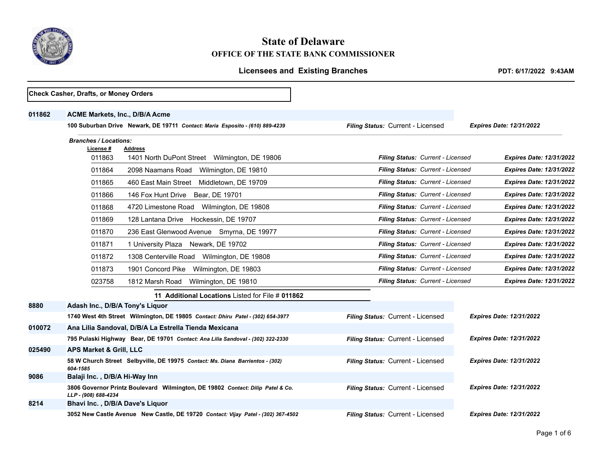

## **State of Delaware OFFICE OF THE STATE BANK COMMISSIONER**

## Licensees and Existing Branches *PDT: 6/17/2022 9:43AM*

|        | Check Casher, Drafts, or Money Orders                                                                |                                   |                                 |
|--------|------------------------------------------------------------------------------------------------------|-----------------------------------|---------------------------------|
| 011862 | <b>ACME Markets, Inc., D/B/A Acme</b>                                                                |                                   |                                 |
|        | 100 Suburban Drive Newark, DE 19711 Contact: Maria Esposito - (610) 889-4239                         | Filing Status: Current - Licensed | <b>Expires Date: 12/31/2022</b> |
|        | <b>Branches / Locations:</b>                                                                         |                                   |                                 |
|        | License #<br>Address                                                                                 | Filing Status: Current - Licensed | <b>Expires Date: 12/31/2022</b> |
|        | 1401 North DuPont Street Wilmington, DE 19806<br>011863                                              |                                   |                                 |
|        | 011864<br>2098 Naamans Road<br>Wilmington, DE 19810                                                  | Filing Status: Current - Licensed | <b>Expires Date: 12/31/2022</b> |
|        | 011865<br>460 East Main Street Middletown, DE 19709                                                  | Filing Status: Current - Licensed | <b>Expires Date: 12/31/2022</b> |
|        | 011866<br>146 Fox Hunt Drive<br>Bear, DE 19701                                                       | Filing Status: Current - Licensed | <b>Expires Date: 12/31/2022</b> |
|        | 011868<br>4720 Limestone Road Wilmington, DE 19808                                                   | Filing Status: Current - Licensed | <b>Expires Date: 12/31/2022</b> |
|        | 011869<br>128 Lantana Drive Hockessin, DE 19707                                                      | Filing Status: Current - Licensed | <b>Expires Date: 12/31/2022</b> |
|        | 011870<br>236 East Glenwood Avenue Smyrna, DE 19977                                                  | Filing Status: Current - Licensed | <b>Expires Date: 12/31/2022</b> |
|        | 011871<br>1 University Plaza Newark, DE 19702                                                        | Filing Status: Current - Licensed | <b>Expires Date: 12/31/2022</b> |
|        | 011872<br>1308 Centerville Road Wilmington, DE 19808                                                 | Filing Status: Current - Licensed | <b>Expires Date: 12/31/2022</b> |
|        | 011873<br>1901 Concord Pike Wilmington, DE 19803                                                     | Filing Status: Current - Licensed | <b>Expires Date: 12/31/2022</b> |
|        | 023758<br>1812 Marsh Road<br>Wilmington, DE 19810                                                    | Filing Status: Current - Licensed | <b>Expires Date: 12/31/2022</b> |
|        | 11 Additional Locations Listed for File # 011862                                                     |                                   |                                 |
| 8880   | Adash Inc., D/B/A Tony's Liquor                                                                      |                                   |                                 |
|        | 1740 West 4th Street Wilmington, DE 19805 Contact: Dhiru Patel - (302) 654-3977                      | Filing Status: Current - Licensed | <b>Expires Date: 12/31/2022</b> |
| 010072 | Ana Lilia Sandoval, D/B/A La Estrella Tienda Mexicana                                                |                                   |                                 |
|        | 795 Pulaski Highway Bear, DE 19701 Contact: Ana Lilia Sandoval - (302) 322-2330                      | Filing Status: Current - Licensed | <b>Expires Date: 12/31/2022</b> |
| 025490 | <b>APS Market &amp; Grill, LLC</b>                                                                   |                                   |                                 |
|        | 58 W Church Street Selbyville, DE 19975 Contact: Ms. Diana Barrientos - (302)<br>604-1585            | Filing Status: Current - Licensed | <b>Expires Date: 12/31/2022</b> |
| 9086   | Balaji Inc., D/B/A Hi-Way Inn                                                                        |                                   |                                 |
|        | 3806 Governor Printz Boulevard Wilmington, DE 19802 Contact: Dilip Patel & Co.<br>LLP-(908) 688-4234 | Filing Status: Current - Licensed | <b>Expires Date: 12/31/2022</b> |
| 8214   | Bhavi Inc., D/B/A Dave's Liquor                                                                      |                                   |                                 |
|        | 3052 New Castle Avenue New Castle, DE 19720 Contact: Vijay Patel - (302) 367-4502                    | Filing Status: Current - Licensed | <b>Expires Date: 12/31/2022</b> |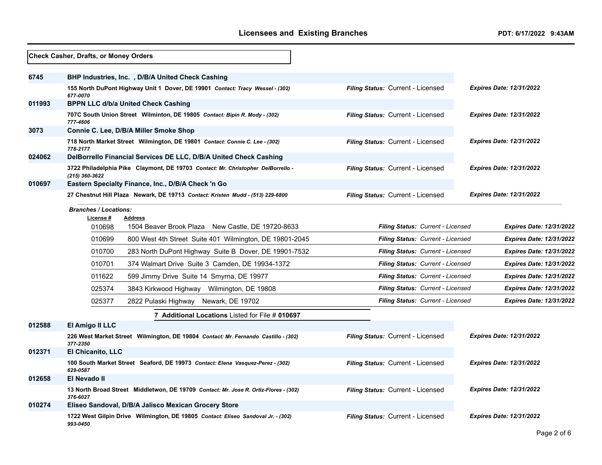|        | Check Casher, Drafts, or Money Orders                                                              |                                   |                                 |
|--------|----------------------------------------------------------------------------------------------------|-----------------------------------|---------------------------------|
| 6745   | BHP Industries, Inc., D/B/A United Check Cashing                                                   |                                   |                                 |
|        | 155 North DuPont Highway Unit 1 Dover, DE 19901 Contact: Tracy Wessel - (302)<br>677-0070          | Filing Status: Current - Licensed | <b>Expires Date: 12/31/2022</b> |
| 011993 | <b>BPPN LLC d/b/a United Check Cashing</b>                                                         |                                   |                                 |
|        | 707C South Union Street Wilminton, DE 19805 Contact: Bipin R. Mody - (302)<br>777-4606             | Filing Status: Current - Licensed | <b>Expires Date: 12/31/2022</b> |
| 3073   | Connie C. Lee, D/B/A Miller Smoke Shop                                                             |                                   |                                 |
|        | 718 North Market Street Wilmington, DE 19801 Contact: Connie C. Lee - (302)<br>778-2177            | Filing Status: Current - Licensed | <b>Expires Date: 12/31/2022</b> |
| 024062 | DelBorrello Financial Services DE LLC, D/B/A United Check Cashing                                  |                                   |                                 |
|        | 3722 Philadelphia Pike Claymont, DE 19703 Contact: Mr. Christopher DelBorrello -<br>(215) 360-3622 | Filing Status: Current - Licensed | <b>Expires Date: 12/31/2022</b> |
| 010697 | Eastern Specialty Finance, Inc., D/B/A Check 'n Go                                                 |                                   |                                 |
|        | 27 Chestnut Hill Plaza Newark, DE 19713 Contact: Kristen Mudd - (513) 229-6800                     | Filing Status: Current - Licensed | <b>Expires Date: 12/31/2022</b> |
|        | <b>Branches / Locations:</b><br>License #<br><b>Address</b>                                        |                                   |                                 |
|        | 010698<br>1504 Beaver Brook Plaza New Castle, DE 19720-8633                                        | Filing Status: Current - Licensed | <b>Expires Date: 12/31/2022</b> |
|        | 010699<br>800 West 4th Street Suite 401 Wilmington, DE 19801-2045                                  | Filing Status: Current - Licensed | <b>Expires Date: 12/31/2022</b> |
|        | 010700<br>283 North DuPont Highway Suite B Dover, DE 19901-7532                                    | Filing Status: Current - Licensed | <b>Expires Date: 12/31/2022</b> |
|        | 010701<br>374 Walmart Drive Suite 3 Camden, DE 19934-1372                                          | Filing Status: Current - Licensed | <b>Expires Date: 12/31/2022</b> |
|        | 011622<br>599 Jimmy Drive Suite 14 Smyrna, DE 19977                                                | Filing Status: Current - Licensed | <b>Expires Date: 12/31/2022</b> |
|        | 025374<br>3843 Kirkwood Highway<br>Wilmington, DE 19808                                            | Filing Status: Current - Licensed | <b>Expires Date: 12/31/2022</b> |
|        | 025377<br>2822 Pulaski Highway<br>Newark, DE 19702                                                 | Filing Status: Current - Licensed | <b>Expires Date: 12/31/2022</b> |
|        | 7 Additional Locations Listed for File # 010697                                                    |                                   |                                 |
| 012588 | El Amigo II LLC                                                                                    |                                   |                                 |
|        | 226 West Market Street Wilmington, DE 19804 Contact: Mr. Fernando Castillo - (302)<br>377-2350     | Filing Status: Current - Licensed | <b>Expires Date: 12/31/2022</b> |
| 012371 | <b>El Chicanito, LLC</b>                                                                           |                                   |                                 |
|        | 100 South Market Street Seaford, DE 19973 Contact: Elena Vasquez-Perez - (302)<br>629-0587         | Filing Status: Current - Licensed | <b>Expires Date: 12/31/2022</b> |
| 012658 | El Nevado II                                                                                       |                                   |                                 |
|        | 13 North Broad Street Middletwon, DE 19709 Contact: Mr. Jose R. Ortiz-Flores - (302)<br>376-6027   | Filing Status: Current - Licensed | <b>Expires Date: 12/31/2022</b> |
| 010274 | Eliseo Sandoval, D/B/A Jalisco Mexican Grocery Store                                               |                                   |                                 |
|        | 1722 West Gilpin Drive Wilmington, DE 19805 Contact: Eliseo Sandoval Jr. - (302)<br>993-0450       | Filing Status: Current - Licensed | <b>Expires Date: 12/31/2022</b> |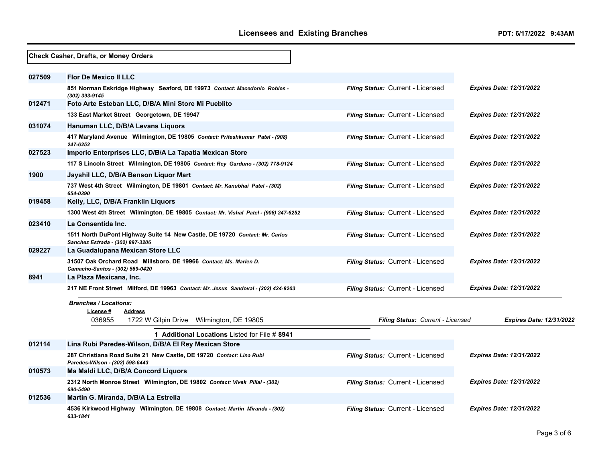|        | Check Casher, Drafts, or Money Orders                                                                           |                                   |                                 |
|--------|-----------------------------------------------------------------------------------------------------------------|-----------------------------------|---------------------------------|
| 027509 | <b>Flor De Mexico II LLC</b>                                                                                    |                                   |                                 |
|        | 851 Norman Eskridge Highway Seaford, DE 19973 Contact: Macedonio Robles -<br>(302) 393-9145                     | Filing Status: Current - Licensed | <b>Expires Date: 12/31/2022</b> |
| 012471 | Foto Arte Esteban LLC, D/B/A Mini Store Mi Pueblito                                                             |                                   |                                 |
|        | 133 East Market Street Georgetown, DE 19947                                                                     | Filing Status: Current - Licensed | <b>Expires Date: 12/31/2022</b> |
| 031074 | Hanuman LLC, D/B/A Levans Liquors                                                                               |                                   |                                 |
|        | 417 Maryland Avenue Wilmington, DE 19805 Contact: Priteshkumar Patel - (908)<br>247-6252                        | Filing Status: Current - Licensed | <b>Expires Date: 12/31/2022</b> |
| 027523 | Imperio Enterprises LLC, D/B/A La Tapatia Mexican Store                                                         |                                   |                                 |
|        | 117 S Lincoln Street Wilmington, DE 19805 Contact: Rey Garduno - (302) 778-9124                                 | Filing Status: Current - Licensed | <b>Expires Date: 12/31/2022</b> |
| 1900   | Jayshil LLC, D/B/A Benson Liquor Mart                                                                           |                                   |                                 |
|        | 737 West 4th Street Wilmington, DE 19801 Contact: Mr. Kanubhai Patel - (302)<br>654-0390                        | Filing Status: Current - Licensed | <b>Expires Date: 12/31/2022</b> |
| 019458 | Kelly, LLC, D/B/A Franklin Liquors                                                                              |                                   |                                 |
|        | 1300 West 4th Street Wilmington, DE 19805 Contact: Mr. Vishal Patel - (908) 247-6252                            | Filing Status: Current - Licensed | <b>Expires Date: 12/31/2022</b> |
| 023410 | La Consentida Inc.                                                                                              |                                   |                                 |
|        | 1511 North DuPont Highway Suite 14 New Castle, DE 19720 Contact: Mr. Carlos<br>Sanchez Estrada - (302) 897-3206 | Filing Status: Current - Licensed | <b>Expires Date: 12/31/2022</b> |
| 029227 | La Guadalupana Mexican Store LLC                                                                                |                                   |                                 |
|        | 31507 Oak Orchard Road Millsboro, DE 19966 Contact: Ms. Marlen D.<br>Camacho-Santos - (302) 569-0420            | Filing Status: Current - Licensed | <b>Expires Date: 12/31/2022</b> |
| 8941   | La Plaza Mexicana, Inc.                                                                                         |                                   |                                 |
|        | 217 NE Front Street Milford, DE 19963 Contact: Mr. Jesus Sandoval - (302) 424-8203                              | Filing Status: Current - Licensed | <b>Expires Date: 12/31/2022</b> |
|        | <b>Branches / Locations:</b><br>License#<br><b>Address</b>                                                      |                                   |                                 |
|        | 036955<br>1722 W Gilpin Drive Wilmington, DE 19805                                                              | Filing Status: Current - Licensed | <b>Expires Date: 12/31/2022</b> |
|        | <b>1 Additional Locations Listed for File # 8941</b>                                                            |                                   |                                 |
| 012114 | Lina Rubi Paredes-Wilson, D/B/A El Rey Mexican Store                                                            |                                   |                                 |
|        | 287 Christiana Road Suite 21 New Castle, DE 19720 Contact: Lina Rubi<br>Paredes-Wilson - (302) 598-6443         | Filing Status: Current - Licensed | <b>Expires Date: 12/31/2022</b> |
| 010573 | Ma Maldi LLC, D/B/A Concord Liquors                                                                             |                                   |                                 |
|        | 2312 North Monroe Street Wilmington, DE 19802 Contact: Vivek Pillai - (302)<br>690-5490                         | Filing Status: Current - Licensed | <b>Expires Date: 12/31/2022</b> |
| 012536 | Martin G. Miranda, D/B/A La Estrella                                                                            |                                   |                                 |
|        | 4536 Kirkwood Highway Wilmington, DE 19808 Contact: Martin Miranda - (302)<br>633-1841                          | Filing Status: Current - Licensed | <b>Expires Date: 12/31/2022</b> |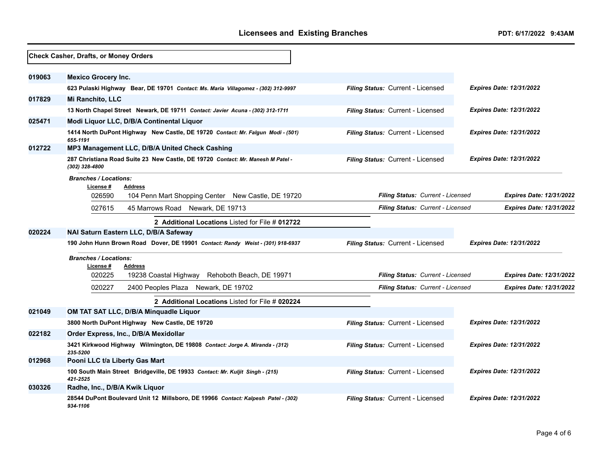|        | Check Casher, Drafts, or Money Orders                                                                                       |                                          |                                 |
|--------|-----------------------------------------------------------------------------------------------------------------------------|------------------------------------------|---------------------------------|
| 019063 | <b>Mexico Grocery Inc.</b>                                                                                                  |                                          |                                 |
|        | 623 Pulaski Highway Bear, DE 19701 Contact: Ms. Maria Villagomez - (302) 312-9997                                           | Filing Status: Current - Licensed        | <b>Expires Date: 12/31/2022</b> |
| 017829 | Mi Ranchito, LLC                                                                                                            |                                          |                                 |
|        | 13 North Chapel Street Newark, DE 19711 Contact: Javier Acuna - (302) 312-1711                                              | Filing Status: Current - Licensed        | <b>Expires Date: 12/31/2022</b> |
| 025471 | Modi Liquor LLC, D/B/A Continental Liquor                                                                                   |                                          |                                 |
|        | 1414 North DuPont Highway New Castle, DE 19720 Contact: Mr. Falgun Modi - (501)<br>655-1191                                 | Filing Status: Current - Licensed        | <b>Expires Date: 12/31/2022</b> |
| 012722 | MP3 Management LLC, D/B/A United Check Cashing                                                                              |                                          |                                 |
|        | 287 Christiana Road Suite 23 New Castle, DE 19720 Contact: Mr. Manesh M Patel -<br>(302) 328-4800                           | Filing Status: Current - Licensed        | <b>Expires Date: 12/31/2022</b> |
|        | <b>Branches / Locations:</b><br>License #<br><b>Address</b><br>026590<br>104 Penn Mart Shopping Center New Castle, DE 19720 | <b>Filing Status: Current - Licensed</b> | <b>Expires Date: 12/31/2022</b> |
|        | 027615<br>45 Marrows Road Newark, DE 19713                                                                                  | Filing Status: Current - Licensed        | <b>Expires Date: 12/31/2022</b> |
|        |                                                                                                                             |                                          |                                 |
| 020224 | 2 Additional Locations Listed for File # 012722<br>NAI Saturn Eastern LLC, D/B/A Safeway                                    |                                          |                                 |
|        | 190 John Hunn Brown Road Dover, DE 19901 Contact: Randy Weist - (301) 918-6937                                              | Filing Status: Current - Licensed        | <b>Expires Date: 12/31/2022</b> |
|        | <b>Branches / Locations:</b><br>License #<br><b>Address</b><br>020225<br>19238 Coastal Highway<br>Rehoboth Beach, DE 19971  | Filing Status: Current - Licensed        | <b>Expires Date: 12/31/2022</b> |
|        | 020227<br>2400 Peoples Plaza Newark, DE 19702                                                                               | Filing Status: Current - Licensed        | <b>Expires Date: 12/31/2022</b> |
|        | 2 Additional Locations Listed for File # 020224                                                                             |                                          |                                 |
| 021049 | OM TAT SAT LLC, D/B/A Minquadle Liquor                                                                                      |                                          |                                 |
|        | 3800 North DuPont Highway New Castle, DE 19720                                                                              | Filing Status: Current - Licensed        | <b>Expires Date: 12/31/2022</b> |
| 022182 | Order Express, Inc., D/B/A Mexidollar<br>3421 Kirkwood Highway Wilmington, DE 19808 Contact: Jorge A. Miranda - (312)       | Filing Status: Current - Licensed        | <b>Expires Date: 12/31/2022</b> |
| 012968 | 235-5200<br>Pooni LLC t/a Liberty Gas Mart                                                                                  |                                          |                                 |
|        | 100 South Main Street Bridgeville, DE 19933 Contact: Mr. Kuljit Singh - (215)<br>421-2525                                   | Filing Status: Current - Licensed        | <b>Expires Date: 12/31/2022</b> |
| 030326 | Radhe, Inc., D/B/A Kwik Liquor                                                                                              |                                          |                                 |
|        | 28544 DuPont Boulevard Unit 12 Millsboro, DE 19966 Contact: Kalpesh Patel - (302)<br>934-1106                               | Filing Status: Current - Licensed        | <b>Expires Date: 12/31/2022</b> |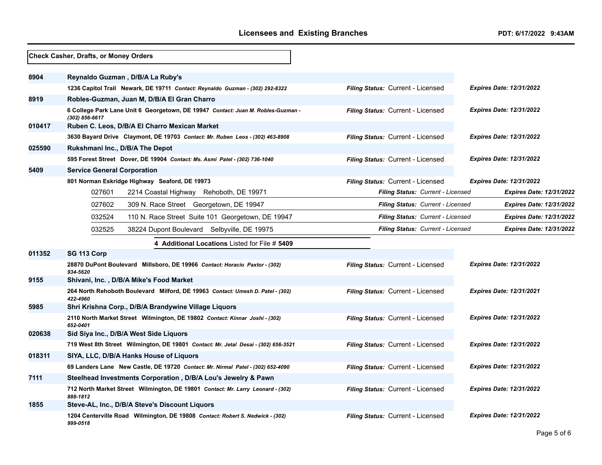|        | Check Casher, Drafts, or Money Orders                                                              |                                                                             |                                 |
|--------|----------------------------------------------------------------------------------------------------|-----------------------------------------------------------------------------|---------------------------------|
| 8904   | Reynaldo Guzman, D/B/A La Ruby's                                                                   |                                                                             |                                 |
|        | 1236 Capitol Trail Newark, DE 19711 Contact: Reynaldo Guzman - (302) 292-8322                      | Filing Status: Current - Licensed                                           | <b>Expires Date: 12/31/2022</b> |
| 8919   | Robles-Guzman, Juan M, D/B/A El Gran Charro                                                        |                                                                             |                                 |
|        | 6 College Park Lane Unit 6 Georgetown, DE 19947 Contact: Juan M. Robles-Guzman -<br>(302) 856-6617 | Filing Status: Current - Licensed                                           | <b>Expires Date: 12/31/2022</b> |
| 010417 | Ruben C. Leos, D/B/A El Charro Mexican Market                                                      |                                                                             |                                 |
|        | 3630 Bayard Drive Claymont, DE 19703 Contact: Mr. Ruben Leos - (302) 463-8908                      | Filing Status: Current - Licensed                                           | <b>Expires Date: 12/31/2022</b> |
| 025590 | Rukshmani Inc., D/B/A The Depot                                                                    |                                                                             |                                 |
|        | 595 Forest Street Dover, DE 19904 Contact: Ms. Asmi Patel - (302) 736-1040                         | Filing Status: Current - Licensed                                           | Expires Date: 12/31/2022        |
| 5409   | <b>Service General Corporation</b>                                                                 |                                                                             |                                 |
|        | 801 Norman Eskridge Highway Seaford, DE 19973                                                      | Filing Status: Current - Licensed                                           | <b>Expires Date: 12/31/2022</b> |
|        | 027601<br>2214 Coastal Highway Rehoboth, DE 19971                                                  | Filing Status: Current - Licensed                                           | <b>Expires Date: 12/31/2022</b> |
|        | 027602<br>309 N. Race Street Georgetown, DE 19947                                                  | <b>Filing Status: Current - Licensed</b>                                    | <b>Expires Date: 12/31/2022</b> |
|        | 032524<br>110 N. Race Street Suite 101 Georgetown, DE 19947                                        | <b>Filing Status: Current - Licensed</b><br><b>Expires Date: 12/31/2022</b> |                                 |
|        | 032525<br>38224 Dupont Boulevard Selbyville, DE 19975                                              | <b>Filing Status: Current - Licensed</b>                                    | <b>Expires Date: 12/31/2022</b> |
|        | 4 Additional Locations Listed for File # 5409                                                      |                                                                             |                                 |
| 011352 | SG 113 Corp                                                                                        |                                                                             |                                 |
|        | 28870 DuPont Boulevard Millsboro, DE 19966 Contact: Horacio Paxtor - (302)<br>934-5620             | Filing Status: Current - Licensed                                           | <b>Expires Date: 12/31/2022</b> |
| 9155   | Shivani, Inc., D/B/A Mike's Food Market                                                            |                                                                             |                                 |
|        | 264 North Rehoboth Boulevard Milford, DE 19963 Contact: Umesh D. Patel - (302)<br>422-4960         | Filing Status: Current - Licensed                                           | <b>Expires Date: 12/31/2021</b> |
| 5985   | Shri Krishna Corp., D/B/A Brandywine Village Liquors                                               |                                                                             |                                 |
|        | 2110 North Market Street Wilmington, DE 19802 Contact: Kinnar Joshi - (302)<br>652-0401            | Filing Status: Current - Licensed                                           | <b>Expires Date: 12/31/2022</b> |
| 020638 | Sid Siya Inc., D/B/A West Side Liquors                                                             |                                                                             |                                 |
|        | 719 West 8th Street Wilmington, DE 19801 Contact: Mr. Jetal Desai - (302) 656-3521                 | Filing Status: Current - Licensed                                           | <b>Expires Date: 12/31/2022</b> |
| 018311 | SIYA, LLC, D/B/A Hanks House of Liquors                                                            |                                                                             |                                 |
|        | 69 Landers Lane New Castle, DE 19720 Contact: Mr. Nirmal Patel - (302) 652-4090                    | Filing Status: Current - Licensed                                           | Expires Date: 12/31/2022        |
| 7111   | Steelhead Investments Corporation, D/B/A Lou's Jewelry & Pawn                                      |                                                                             |                                 |
|        | 712 North Market Street Wilmington, DE 19801 Contact: Mr. Larry Leonard - (302)<br>888-1812        | <b>Filing Status: Current - Licensed</b>                                    | <b>Expires Date: 12/31/2022</b> |
| 1855   | Steve-AL, Inc., D/B/A Steve's Discount Liquors                                                     |                                                                             |                                 |
|        | 1204 Centerville Road Wilmington, DE 19808 Contact: Robert S. Nedwick - (302)<br>999-0518          | Filing Status: Current - Licensed                                           | <b>Expires Date: 12/31/2022</b> |